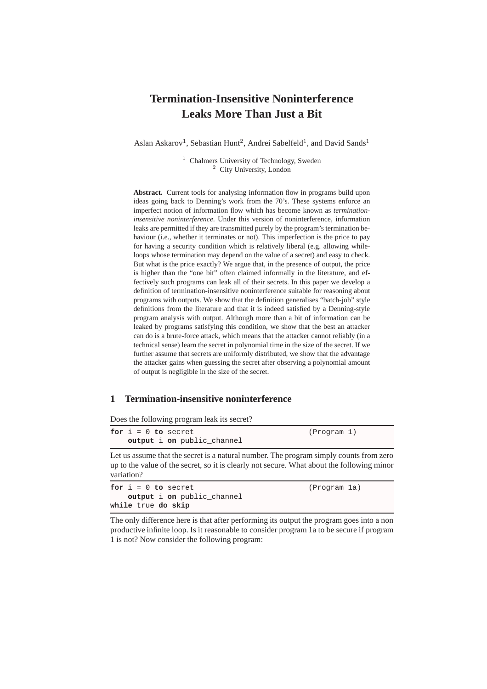# **Termination-Insensitive Noninterference Leaks More Than Just a Bit**

Aslan Askarov<sup>1</sup>, Sebastian Hunt<sup>2</sup>, Andrei Sabelfeld<sup>1</sup>, and David Sands<sup>1</sup>

 $1$  Chalmers University of Technology, Sweden <sup>2</sup> City University, London

**Abstract.** Current tools for analysing information flow in programs build upon ideas going back to Denning's work from the 70's. These systems enforce an imperfect notion of information flow which has become known as *terminationinsensitive noninterference*. Under this version of noninterference, information leaks are permitted if they are transmitted purely by the program's termination behaviour (i.e., whether it terminates or not). This imperfection is the price to pay for having a security condition which is relatively liberal (e.g. allowing whileloops whose termination may depend on the value of a secret) and easy to check. But what is the price exactly? We argue that, in the presence of output, the price is higher than the "one bit" often claimed informally in the literature, and effectively such programs can leak all of their secrets. In this paper we develop a definition of termination-insensitive noninterference suitable for reasoning about programs with outputs. We show that the definition generalises "batch-job" style definitions from the literature and that it is indeed satisfied by a Denning-style program analysis with output. Although more than a bit of information can be leaked by programs satisfying this condition, we show that the best an attacker can do is a brute-force attack, which means that the attacker cannot reliably (in a technical sense) learn the secret in polynomial time in the size of the secret. If we further assume that secrets are uniformly distributed, we show that the advantage the attacker gains when guessing the secret after observing a polynomial amount of output is negligible in the size of the secret.

## **1 Termination-insensitive noninterference**

Does the following program leak its secret?

|  |  | for $i = 0$ to secret      | (Program 1) |  |
|--|--|----------------------------|-------------|--|
|  |  | output i on public channel |             |  |

Let us assume that the secret is a natural number. The program simply counts from zero up to the value of the secret, so it is clearly not secure. What about the following minor variation?

| for $i = 0$ to secret      | (Program la) |
|----------------------------|--------------|
| output i on public channel |              |
| while true do skip         |              |

The only difference here is that after performing its output the program goes into a non productive infinite loop. Is it reasonable to consider program 1a to be secure if program 1 is not? Now consider the following program: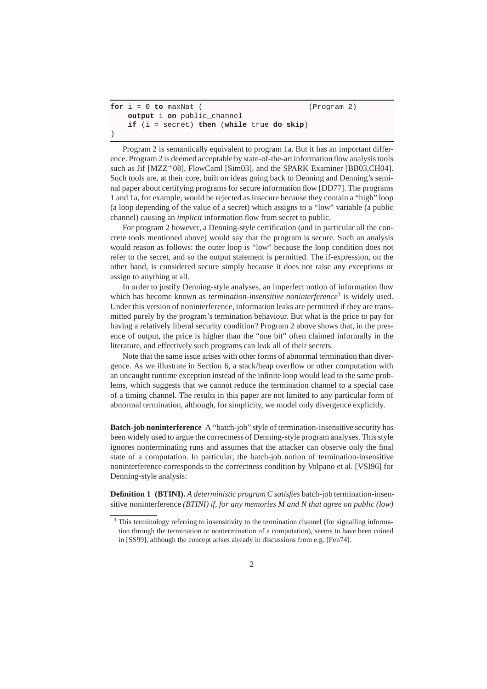```
for i = 0 to maxNat ( (Program 2)
   output i on public_channel
   if (i = secret) then (while true do skip)
)
```
Program 2 is semantically equivalent to program 1a. But it has an important difference. Program 2 is deemed acceptable by state-of-the-art information flow analysis tools such as Jif  $[MZZ^+08]$ , FlowCaml  $[Sim03]$ , and the SPARK Examiner  $[BB03,CH04]$ . Such tools are, at their core, built on ideas going back to Denning and Denning's seminal paper about certifying programs for secure information flow [DD77]. The programs 1 and 1a, for example, would be rejected as insecure because they contain a "high" loop (a loop depending of the value of a secret) which assigns to a "low" variable (a public channel) causing an *implicit* information flow from secret to public.

For program 2 however, a Denning-style certification (and in particular all the concrete tools mentioned above) would say that the program is secure. Such an analysis would reason as follows: the outer loop is "low" because the loop condition does not refer to the secret, and so the output statement is permitted. The if-expression, on the other hand, is considered secure simply because it does not raise any exceptions or assign to anything at all.

In order to justify Denning-style analyses, an imperfect notion of information flow which has become known as *termination-insensitive noninterference*<sup>3</sup> is widely used. Under this version of noninterference, information leaks are permitted if they are transmitted purely by the program's termination behaviour. But what is the price to pay for having a relatively liberal security condition? Program 2 above shows that, in the presence of output, the price is higher than the "one bit" often claimed informally in the literature, and effectively such programs can leak all of their secrets.

Note that the same issue arises with other forms of abnormal termination than divergence. As we illustrate in Section 6, a stack/heap overflow or other computation with an uncaught runtime exception instead of the infinite loop would lead to the same problems, which suggests that we cannot reduce the termination channel to a special case of a timing channel. The results in this paper are not limited to any particular form of abnormal termination, although, for simplicity, we model only divergence explicitly.

**Batch-job noninterference** A "batch-job" style of termination-insensitive security has been widely used to argue the correctness of Denning-style program analyses. This style ignores nonterminating runs and assumes that the attacker can observe only the final state of a computation. In particular, the batch-job notion of termination-insensitive noninterference corresponds to the correctness condition by Volpano et al. [VSI96] for Denning-style analysis:

**Definition 1 (BTINI).** *A deterministic program C satisfies* batch-job termination-insensitive noninterference *(BTINI) if, for any memories M and N that agree on public (low)*

<sup>&</sup>lt;sup>3</sup> This terminology referring to insensitivity to the termination channel (for signalling information through the termination or nontermination of a computation), seems to have been coined in [SS99], although the concept arises already in discussions from e.g. [Fen74].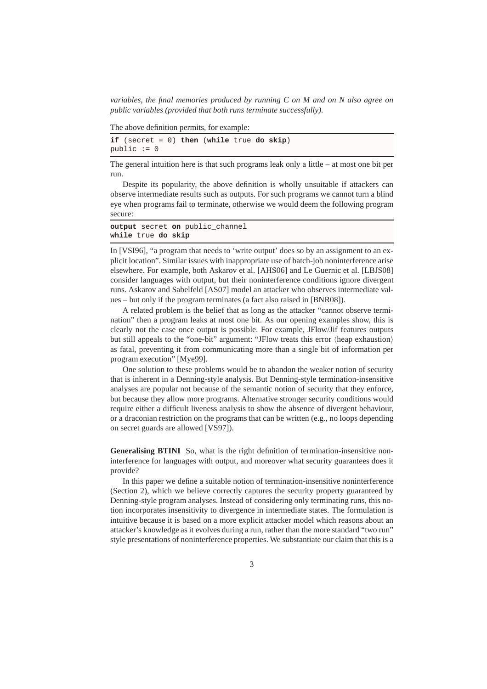*variables, the final memories produced by running C on M and on N also agree on public variables (provided that both runs terminate successfully).*

The above definition permits, for example:

**if** (secret = 0) **then** (**while** true **do skip**) public  $:= 0$ 

The general intuition here is that such programs leak only a little  $-$  at most one bit per run.

Despite its popularity, the above definition is wholly unsuitable if attackers can observe intermediate results such as outputs. For such programs we cannot turn a blind eye when programs fail to terminate, otherwise we would deem the following program secure:

**output** secret **on** public\_channel **while** true **do skip**

In [VSI96], "a program that needs to 'write output' does so by an assignment to an explicit location". Similar issues with inappropriate use of batch-job noninterference arise elsewhere. For example, both Askarov et al. [AHS06] and Le Guernic et al. [LBJS08] consider languages with output, but their noninterference conditions ignore divergent runs. Askarov and Sabelfeld [AS07] model an attacker who observes intermediate values – but only if the program terminates (a fact also raised in [BNR08]).

A related problem is the belief that as long as the attacker "cannot observe termination" then a program leaks at most one bit. As our opening examples show, this is clearly not the case once output is possible. For example, JFlow/Jif features outputs but still appeals to the "one-bit" argument: "JFlow treats this error  $\langle$  heap exhaustion $\rangle$ as fatal, preventing it from communicating more than a single bit of information per program execution" [Mye99].

One solution to these problems would be to abandon the weaker notion of security that is inherent in a Denning-style analysis. But Denning-style termination-insensitive analyses are popular not because of the semantic notion of security that they enforce, but because they allow more programs. Alternative stronger security conditions would require either a difficult liveness analysis to show the absence of divergent behaviour, or a draconian restriction on the programs that can be written (e.g., no loops depending on secret guards are allowed [VS97]).

**Generalising BTINI** So, what is the right definition of termination-insensitive noninterference for languages with output, and moreover what security guarantees does it provide?

In this paper we define a suitable notion of termination-insensitive noninterference (Section 2), which we believe correctly captures the security property guaranteed by Denning-style program analyses. Instead of considering only terminating runs, this notion incorporates insensitivity to divergence in intermediate states. The formulation is intuitive because it is based on a more explicit attacker model which reasons about an attacker's knowledge as it evolves during a run, rather than the more standard "two run" style presentations of noninterference properties. We substantiate our claim that this is a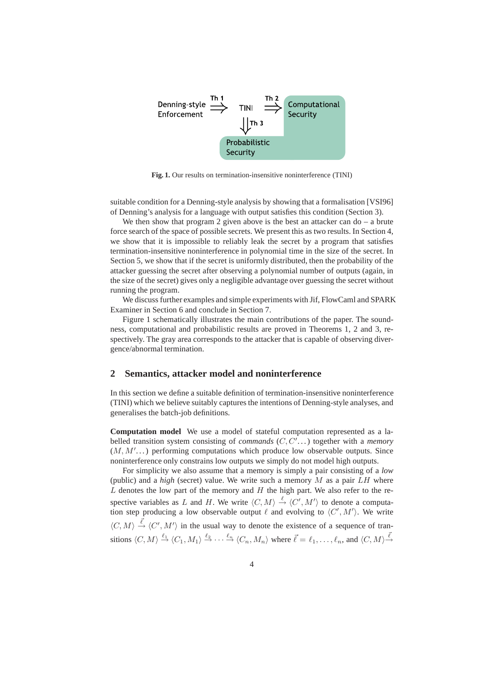

**Fig. 1.** Our results on termination-insensitive noninterference (TINI)

suitable condition for a Denning-style analysis by showing that a formalisation [VSI96] of Denning's analysis for a language with output satisfies this condition (Section 3).

We then show that program 2 given above is the best an attacker can  $do - a$  brute force search of the space of possible secrets. We present this as two results. In Section 4, we show that it is impossible to reliably leak the secret by a program that satisfies termination-insensitive noninterference in polynomial time in the size of the secret. In Section 5, we show that if the secret is uniformly distributed, then the probability of the attacker guessing the secret after observing a polynomial number of outputs (again, in the size of the secret) gives only a negligible advantage over guessing the secret without running the program.

We discuss further examples and simple experiments with Jif, FlowCaml and SPARK Examiner in Section 6 and conclude in Section 7.

Figure 1 schematically illustrates the main contributions of the paper. The soundness, computational and probabilistic results are proved in Theorems 1, 2 and 3, respectively. The gray area corresponds to the attacker that is capable of observing divergence/abnormal termination.

### **2 Semantics, attacker model and noninterference**

In this section we define a suitable definition of termination-insensitive noninterference (TINI) which we believe suitably captures the intentions of Denning-style analyses, and generalises the batch-job definitions.

**Computation model** We use a model of stateful computation represented as a labelled transition system consisting of *commands* (C, C'...) together with a *memory*  $(M, M'... )$  performing computations which produce low observable outputs. Since noninterference only constrains low outputs we simply do not model high outputs.

For simplicity we also assume that a memory is simply a pair consisting of a *low* (public) and a *high* (secret) value. We write such a memory M as a pair LH where  $L$  denotes the low part of the memory and  $H$  the high part. We also refer to the respective variables as L and H. We write  $\langle C, M \rangle \stackrel{\ell}{\rightarrow} \langle C', M' \rangle$  to denote a computation step producing a low observable output  $\ell$  and evolving to  $\langle C', M' \rangle$ . We write  $\langle C, M \rangle \stackrel{\vec{\ell}}{\rightarrow} \langle C', M' \rangle$  in the usual way to denote the existence of a sequence of transitions  $\langle C, M \rangle \stackrel{\ell_1}{\rightarrow} \langle C_1, M_1 \rangle \stackrel{\ell_2}{\rightarrow} \cdots \stackrel{\ell_n}{\rightarrow} \langle C_n, M_n \rangle$  where  $\vec{\ell} = \ell_1, \ldots, \ell_n$ , and  $\langle C, M \rangle \stackrel{\vec{\ell}}{\rightarrow}$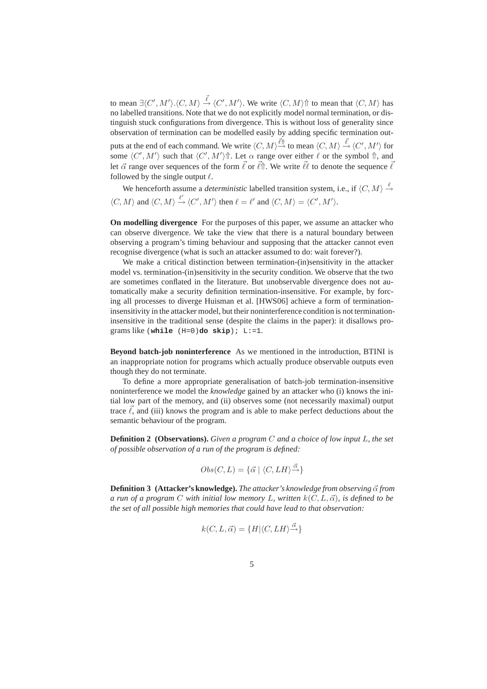to mean  $\exists \langle C', M' \rangle \cdot \langle C, M \rangle \stackrel{\vec{\ell}}{\rightarrow} \langle C', M' \rangle$ . We write  $\langle C, M \rangle$  to mean that  $\langle C, M \rangle$  has no labelled transitions. Note that we do not explicitly model normal termination, or distinguish stuck configurations from divergence. This is without loss of generality since observation of termination can be modelled easily by adding specific termination outputs at the end of each command. We write  $\langle C, M \rangle \stackrel{\vec{\ell} \pitchfork}{\to}$  to mean  $\langle C, M \rangle \stackrel{\vec{\ell}}{\to} \langle C', M' \rangle$  for some  $\langle C', M' \rangle$  such that  $\langle C', M' \rangle$  fi. Let  $\alpha$  range over either  $\ell$  or the symbol  $\Uparrow$ , and let  $\vec{\alpha}$  range over sequences of the form  $\vec{\ell}$  or  $\vec{\ell}$ . We write  $\vec{\ell}$  to denote the sequence  $\vec{\ell}$ followed by the single output  $\ell$ .

We henceforth assume a *deterministic* labelled transition system, i.e., if  $\langle C, M \rangle \stackrel{\ell}{\rightarrow}$  $\langle C, M \rangle$  and  $\langle C, M \rangle \stackrel{\ell'}{\rightarrow} \langle C', M' \rangle$  then  $\ell = \ell'$  and  $\langle C, M \rangle = \langle C', M' \rangle$ .

**On modelling divergence** For the purposes of this paper, we assume an attacker who can observe divergence. We take the view that there is a natural boundary between observing a program's timing behaviour and supposing that the attacker cannot even recognise divergence (what is such an attacker assumed to do: wait forever?).

We make a critical distinction between termination-(in)sensitivity in the attacker model vs. termination-(in)sensitivity in the security condition. We observe that the two are sometimes conflated in the literature. But unobservable divergence does not automatically make a security definition termination-insensitive. For example, by forcing all processes to diverge Huisman et al. [HWS06] achieve a form of terminationinsensitivity in the attacker model, but their noninterference condition is not terminationinsensitive in the traditional sense (despite the claims in the paper): it disallows programs like (**while** (H=0)**do skip**); L:=1.

**Beyond batch-job noninterference** As we mentioned in the introduction, BTINI is an inappropriate notion for programs which actually produce observable outputs even though they do not terminate.

To define a more appropriate generalisation of batch-job termination-insensitive noninterference we model the *knowledge* gained by an attacker who (i) knows the initial low part of the memory, and (ii) observes some (not necessarily maximal) output trace  $\ell$ , and (iii) knows the program and is able to make perfect deductions about the semantic behaviour of the program.

**Definition 2 (Observations).** *Given a program* C *and a choice of low input* L*, the set of possible observation of a run of the program is defined:*

$$
Obs(C, L) = \{\vec{\alpha} \mid \langle C, LH \rangle \stackrel{\vec{\alpha}}{\rightarrow} \}
$$

**Definition 3 (Attacker's knowledge).** *The attacker's knowledge from observing*  $\vec{\alpha}$  *from a run of a program* C with initial low memory L, written  $k(C, L, \vec{\alpha})$ , is defined to be *the set of all possible high memories that could have lead to that observation:*

$$
k(C, L, \vec{\alpha}) = \{H | \langle C, LH \rangle \stackrel{\vec{\alpha}}{\rightarrow} \}
$$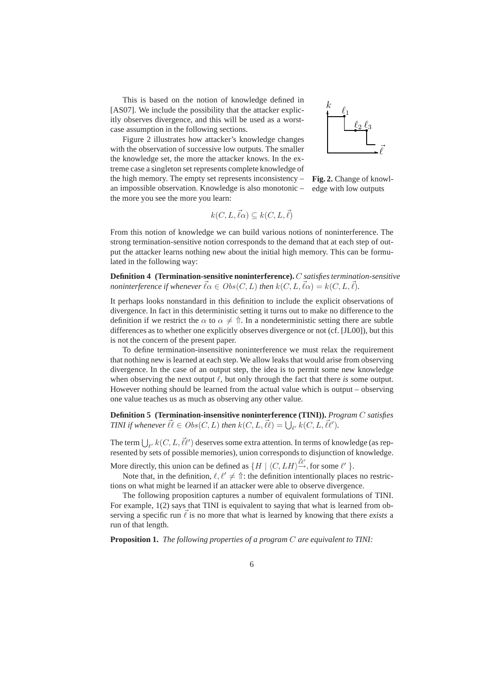This is based on the notion of knowledge defined in [AS07]. We include the possibility that the attacker explicitly observes divergence, and this will be used as a worstcase assumption in the following sections.

r پيدي  $\overline{\phantom{0}}$  $\rightarrow$ k  $\bar{\ell}$  $\ell_1$  $\ell_2 \ell_3$ 

Figure 2 illustrates how attacker's knowledge changes with the observation of successive low outputs. The smaller the knowledge set, the more the attacker knows. In the extreme case a singleton set represents complete knowledge of the high memory. The empty set represents inconsistency – an impossible observation. Knowledge is also monotonic – the more you see the more you learn:

**Fig. 2.** Change of knowledge with low outputs

$$
k(C, L, \vec{\ell}\alpha) \subseteq k(C, L, \vec{\ell})
$$

From this notion of knowledge we can build various notions of noninterference. The strong termination-sensitive notion corresponds to the demand that at each step of output the attacker learns nothing new about the initial high memory. This can be formulated in the following way:

**Definition 4 (Termination-sensitive noninterference).** C *satisfies termination-sensitive noninterference if whenever*  $\bar{\ell} \alpha \in Obs(C, L)$  *then*  $k(C, L, \bar{\ell} \alpha) = k(C, L, \bar{\ell}).$ 

It perhaps looks nonstandard in this definition to include the explicit observations of divergence. In fact in this deterministic setting it turns out to make no difference to the definition if we restrict the  $\alpha$  to  $\alpha \neq \hat{\parallel}$ . In a nondeterministic setting there are subtle differences as to whether one explicitly observes divergence or not (cf. [JL00]), but this is not the concern of the present paper.

To define termination-insensitive noninterference we must relax the requirement that nothing new is learned at each step. We allow leaks that would arise from observing divergence. In the case of an output step, the idea is to permit some new knowledge when observing the next output  $\ell$ , but only through the fact that there *is* some output. However nothing should be learned from the actual value which is output – observing one value teaches us as much as observing any other value.

**Definition 5 (Termination-insensitive noninterference (TINI)).** *Program* C *satisfies TINI* if whenever  $\vec{\ell} \ell \in Obs(C, L)$  then  $k(C, L, \vec{\ell} \ell) = \bigcup_{\ell'} k(C, L, \vec{\ell} \ell').$ 

The term  $\bigcup_{\ell'} k(C, L, \vec{\ell}\ell')$  deserves some extra attention. In terms of knowledge (as represented by sets of possible memories), union corresponds to disjunction of knowledge.

More directly, this union can be defined as  $\{H \mid \langle C, LH \rangle \stackrel{\vec{\ell} \ell'}{\rightarrow}$ , for some  $\ell' \}$ .

Note that, in the definition,  $\ell, \ell' \neq \hat{\mathbb{I}}$ : the definition intentionally places no restrictions on what might be learned if an attacker were able to observe divergence.

The following proposition captures a number of equivalent formulations of TINI. For example, 1(2) says that TINI is equivalent to saying that what is learned from observing a specific run  $\vec{l}$  is no more that what is learned by knowing that there *exists* a run of that length.

**Proposition 1.** *The following properties of a program* C *are equivalent to TINI:*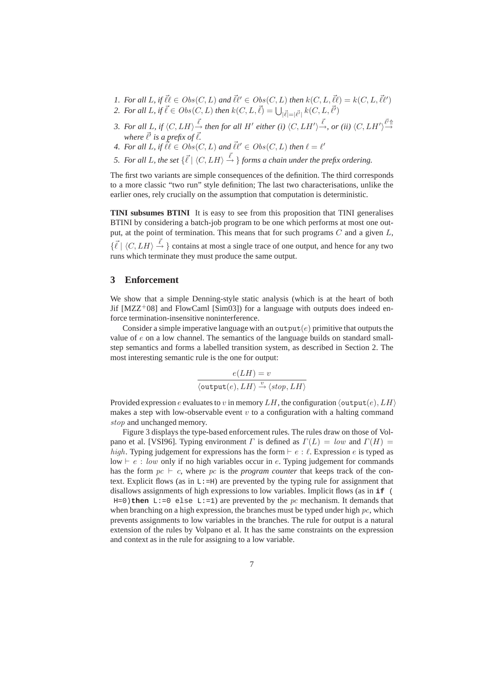- *1.* For all L, if  $\vec{\ell}\ell \in Obs(C, L)$  and  $\vec{\ell}\ell' \in Obs(C, L)$  then  $k(C, L, \vec{\ell}\ell') = k(C, L, \vec{\ell}\ell')$
- 2. For all L, if  $\vec{\ell} \in Obs(C, L)$  then  $k(C, L, \vec{\ell}) = \bigcup_{|\vec{\ell}| = |\vec{\ell}'|} k(C, L, \vec{\ell}')$
- *3. For all L, if*  $\langle C, LH \rangle \stackrel{\vec{\ell}}{\rightarrow}$  *then for all H' either (i)*  $\langle C, LH' \rangle \stackrel{\vec{\ell}}{\rightarrow}$ *, or (ii)*  $\langle C, LH' \rangle \stackrel{\vec{\ell} \uparrow \uparrow}{\rightarrow}$ where  $\vec{\ell'}$  is a prefix of  $\vec{\ell}$ .
- *4. For all L, if*  $\tilde{\ell}\ell \in Obs(C, L)$  *and*  $\tilde{\ell}\ell' \in Obs(C, L)$  *then*  $\ell = \ell'$
- 5. For all L, the set  $\{\vec{\ell} \mid \langle C, LH \rangle \stackrel{\vec{\ell}}{\rightarrow} \}$  *forms a chain under the prefix ordering.*

The first two variants are simple consequences of the definition. The third corresponds to a more classic "two run" style definition; The last two characterisations, unlike the earlier ones, rely crucially on the assumption that computation is deterministic.

**TINI subsumes BTINI** It is easy to see from this proposition that TINI generalises BTINI by considering a batch-job program to be one which performs at most one output, at the point of termination. This means that for such programs  $C$  and a given  $L$ ,

 $\{\vec{\ell} \mid \langle C, LH \rangle \stackrel{\vec{\ell}}{\rightarrow} \}$  contains at most a single trace of one output, and hence for any two runs which terminate they must produce the same output.

### **3 Enforcement**

We show that a simple Denning-style static analysis (which is at the heart of both Jif  $[MZZ^+08]$  and FlowCaml  $[Sim03]$  for a language with outputs does indeed enforce termination-insensitive noninterference.

Consider a simple imperative language with an output( $e$ ) primitive that outputs the value of  $e$  on a low channel. The semantics of the language builds on standard smallstep semantics and forms a labelled transition system, as described in Section 2. The most interesting semantic rule is the one for output:

$$
\frac{e(LH) = v}{\langle \text{output}(e), LH \rangle \xrightarrow{v} \langle stop, LH \rangle}
$$

Provided expression e evaluates to v in memory LH, the configuration  $\langle$  output $(e), LH \rangle$ makes a step with low-observable event  $v$  to a configuration with a halting command stop and unchanged memory.

Figure 3 displays the type-based enforcement rules. The rules draw on those of Volpano et al. [VSI96]. Typing environment  $\Gamma$  is defined as  $\Gamma(L) = low$  and  $\Gamma(H) =$ high. Typing judgement for expressions has the form  $\vdash e : \ell$ . Expression e is typed as low  $\vdash e : low$  only if no high variables occur in e. Typing judgement for commands has the form  $pc \vdash c$ , where pc is the *program counter* that keeps track of the context. Explicit flows (as in  $L:=H$ ) are prevented by the typing rule for assignment that disallows assignments of high expressions to low variables. Implicit flows (as in **if** (  $H=0$ )**then**  $L:=0$  else  $L:=1$ ) are prevented by the pc mechanism. It demands that when branching on a high expression, the branches must be typed under high  $pc$ , which prevents assignments to low variables in the branches. The rule for output is a natural extension of the rules by Volpano et al. It has the same constraints on the expression and context as in the rule for assigning to a low variable.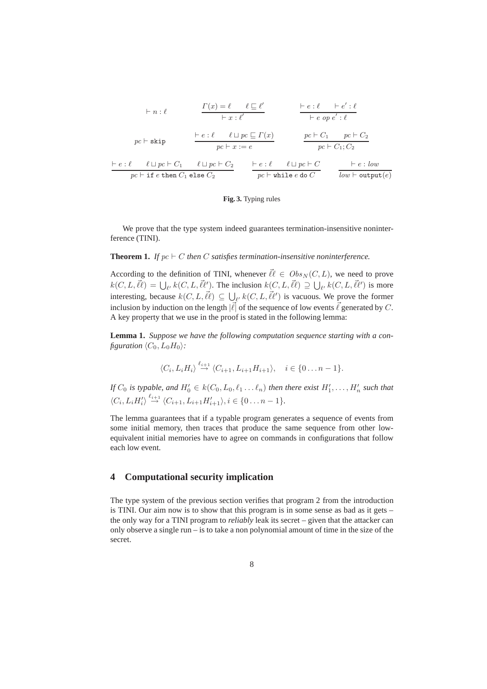$$
\vdash n : \ell \qquad \qquad \frac{\Gamma(x) = \ell \quad \ell \subseteq \ell'}{\vdash x : \ell'} \qquad \qquad \frac{\vdash e : \ell \quad \vdash e' : \ell}{\vdash e \text{ op } e' : \ell} \npc \vdash \text{skip} \qquad \frac{\vdash e : \ell \quad \ell \sqcup pc \sqsubseteq \Gamma(x)}{pc \vdash x := e} \qquad \qquad \frac{pc \vdash C_1 \quad pc \vdash C_2}{pc \vdash C_1; C_2} \n\vdash e : \ell \quad \ell \sqcup pc \vdash C_1 \qquad \ell \sqcup pc \vdash C_2 \qquad \frac{\vdash e : \ell \quad \ell \sqcup pc \vdash C}{pc \vdash \text{while } e \text{ do } C} \qquad \frac{\vdash e : \ell \sqcup pc \vdash C}{low \vdash \text{output}(e)}
$$



We prove that the type system indeed guarantees termination-insensitive noninterference (TINI).

**Theorem 1.** *If*  $pc \vdash C$  *then C satisfies termination-insensitive noninterference.* 

According to the definition of TINI, whenever  $\vec{\ell} \ell \in Obs_N(C, L)$ , we need to prove  $k(C, L, \vec{\ell}\ell) = \bigcup_{\ell'} k(C, L, \vec{\ell}\ell')$ . The inclusion  $k(C, L, \vec{\ell}\ell) \supseteq \bigcup_{\ell'} k(C, L, \vec{\ell}\ell')$  is more interesting, because  $k(C, L, \vec{\ell}\ell) \subseteq \bigcup_{\ell'} k(C, L, \vec{\ell}\ell')$  is vacuous. We prove the former inclusion by induction on the length  $|\vec{\ell}|$  of the sequence of low events  $\vec{\ell}$  generated by  $C$ . A key property that we use in the proof is stated in the following lemma:

**Lemma 1.** *Suppose we have the following computation sequence starting with a configuration*  $\langle C_0, L_0H_0 \rangle$ *:* 

$$
\langle C_i, L_i H_i \rangle \stackrel{\ell_{i+1}}{\rightarrow} \langle C_{i+1}, L_{i+1} H_{i+1} \rangle, \quad i \in \{0 \dots n-1\}.
$$

*If*  $C_0$  *is typable, and*  $H'_0 \in k(C_0, L_0, \ell_1 \ldots \ell_n)$  *then there exist*  $H'_1, \ldots, H'_n$  *such that*  $\langle C_i, L_i H_i' \rangle \stackrel{\ell_{i+1}}{\rightarrow} \langle C_{i+1}, L_{i+1} H_{i+1}' \rangle, i \in \{0 \dots n-1\}.$ 

The lemma guarantees that if a typable program generates a sequence of events from some initial memory, then traces that produce the same sequence from other lowequivalent initial memories have to agree on commands in configurations that follow each low event.

## **4 Computational security implication**

The type system of the previous section verifies that program 2 from the introduction is TINI. Our aim now is to show that this program is in some sense as bad as it gets – the only way for a TINI program to *reliably* leak its secret – given that the attacker can only observe a single run – is to take a non polynomial amount of time in the size of the secret.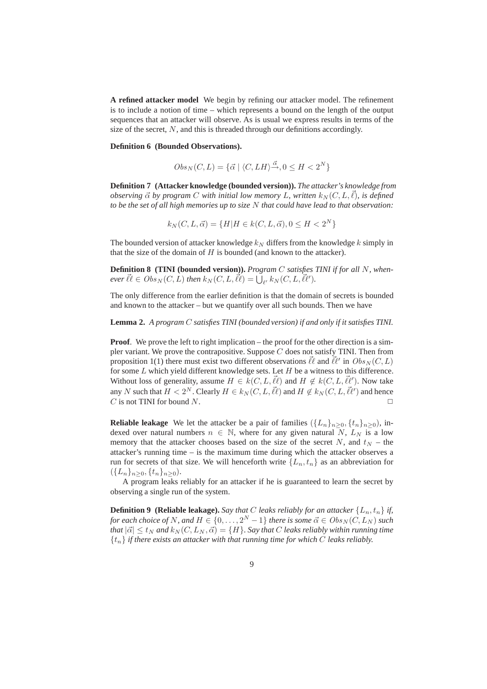**A refined attacker model** We begin by refining our attacker model. The refinement is to include a notion of time – which represents a bound on the length of the output sequences that an attacker will observe. As is usual we express results in terms of the size of the secret,  $N$ , and this is threaded through our definitions accordingly.

**Definition 6 (Bounded Observations).**

 $Obs_N(C, L) = {\{\vec{\alpha} \mid \langle C, LH \rangle \stackrel{\vec{\alpha}}{\rightarrow}, 0 \leq H < 2^N\}}$ 

**Definition 7 (Attacker knowledge (bounded version)).** *The attacker's knowledge from observing*  $\vec{\alpha}$  *by program* C with initial low memory L, written  $k_N(C, L, \ell)$ , is defined *to be the set of all high memories up to size* N *that could have lead to that observation:*

 $k_N(C, L, \vec{\alpha}) = \{H | H \in k(C, L, \vec{\alpha}), 0 \le H < 2^N\}$ 

The bounded version of attacker knowledge  $k_N$  differs from the knowledge k simply in that the size of the domain of  $H$  is bounded (and known to the attacker).

**Definition 8 (TINI (bounded version)).** *Program* C *satisfies TINI if for all* N*, when-* $\vec{ev} \in Obs_N(C, L)$  then  $k_N(C, L, \vec{\ell}\ell) = \bigcup_{\ell'} k_N(C, L, \vec{\ell}\ell').$ 

The only difference from the earlier definition is that the domain of secrets is bounded and known to the attacker – but we quantify over all such bounds. Then we have

**Lemma 2.** *A program* C *satisfies TINI (bounded version) if and only if it satisfies TINI.*

**Proof.** We prove the left to right implication – the proof for the other direction is a simpler variant. We prove the contrapositive. Suppose  $C$  does not satisfy TINI. Then from proposition 1(1) there must exist two different observations  $\vec{\ell} \ell$  and  $\vec{\ell} \ell'$  in  $Obs_N(C, L)$ for some  $L$  which yield different knowledge sets. Let  $H$  be a witness to this difference. Without loss of generality, assume  $H \in \overline{k}(C, L, \overline{\ell}\ell)$  and  $H \notin k(C, L, \overline{\ell}\ell')$ . Now take any  $N$  such that  $H < 2^N$ . Clearly  $H \in k_N(C, L, \vec{\ell}\ell)$  and  $H \not\in k_N(C, L, \vec{\ell}\ell')$  and hence C is not TINI for bound N.  $\Box$ 

**Reliable leakage** We let the attacker be a pair of families  $({L_n}_{n \geq 0}, {t_n}_{n \geq 0})$ , indexed over natural numbers  $n \in \mathbb{N}$ , where for any given natural N,  $L_N$  is a low memory that the attacker chooses based on the size of the secret N, and  $t_N$  – the attacker's running time – is the maximum time during which the attacker observes a run for secrets of that size. We will henceforth write  $\{L_n, t_n\}$  as an abbreviation for  $({L_n}_{n>0}, {t_n}_{n>0}).$ 

A program leaks reliably for an attacker if he is guaranteed to learn the secret by observing a single run of the system.

**Definition 9** (**Reliable leakage**). *Say that* C *leaks reliably for an attacker*  $\{L_n, t_n\}$  *if,* for each choice of  $N$ , and  $H \in \{0,\ldots,2^N-1\}$  there is some  $\vec{\alpha} \in Obs_N(C, L_N)$  such *that*  $|\vec{\alpha}| \le t_N$  *and*  $k_N(C, L_N, \vec{\alpha}) = \{H\}$ . Say that C leaks reliably within running time  ${t_n}$  *if there exists an attacker with that running time for which* C *leaks reliably.*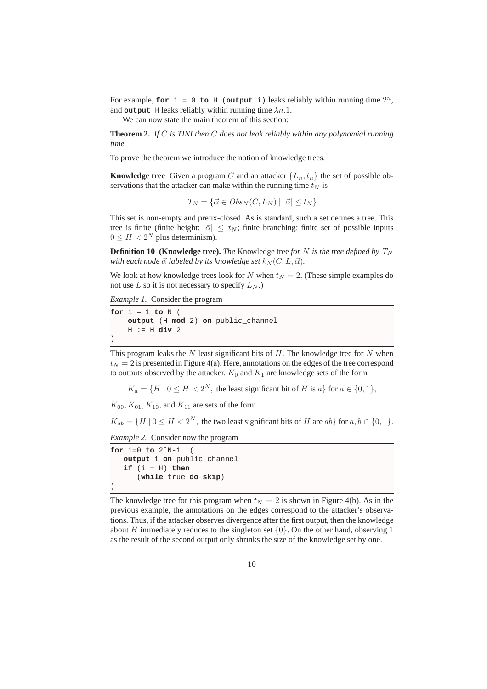For example,  $for \, i = 0$  to  $H$  (output i) leaks reliably within running time  $2^n$ , and **output** H leaks reliably within running time  $\lambda n.1$ .

We can now state the main theorem of this section:

**Theorem 2.** *If* C *is TINI then* C *does not leak reliably within any polynomial running time.*

To prove the theorem we introduce the notion of knowledge trees.

**Knowledge tree** Given a program C and an attacker  $\{L_n, t_n\}$  the set of possible observations that the attacker can make within the running time  $t_N$  is

$$
T_N = \{ \vec{\alpha} \in Obs_N(C, L_N) \mid |\vec{\alpha}| \le t_N \}
$$

This set is non-empty and prefix-closed. As is standard, such a set defines a tree. This tree is finite (finite height:  $|\vec{\alpha}| \leq t_N$ ; finite branching: finite set of possible inputs  $0 \leq H < 2^N$  plus determinism).

**Definition 10 (Knowledge tree).** *The* Knowledge tree *for* N *is the tree defined by*  $T_N$ *with each node*  $\vec{\alpha}$  *labeled by its knowledge set*  $k_N(C, L, \vec{\alpha})$ *.* 

We look at how knowledge trees look for N when  $t_N = 2$ . (These simple examples do not use L so it is not necessary to specify  $L_N$ .)

*Example 1.* Consider the program

```
for i = 1 to N (
    output (H mod 2) on public_channel
   H := H div 2
)
```
This program leaks the  $N$  least significant bits of  $H$ . The knowledge tree for  $N$  when  $t_N = 2$  is presented in Figure 4(a). Here, annotations on the edges of the tree correspond to outputs observed by the attacker.  $K_0$  and  $K_1$  are knowledge sets of the form

 $K_a = \{H \mid 0 \le H < 2^N$ , the least significant bit of H is  $a\}$  for  $a \in \{0, 1\}$ ,

 $K_{00}$ ,  $K_{01}$ ,  $K_{10}$ , and  $K_{11}$  are sets of the form

 $K_{ab} = \{H \mid 0 \le H < 2^N$ , the two least significant bits of H are  $ab\}$  for  $a, b \in \{0, 1\}$ .

*Example 2.* Consider now the program

```
for i=0 to 2ˆN-1 (
  output i on public_channel
   if (i = H) then
      (while true do skip)
)
```
The knowledge tree for this program when  $t_N = 2$  is shown in Figure 4(b). As in the previous example, the annotations on the edges correspond to the attacker's observations. Thus, if the attacker observes divergence after the first output, then the knowledge about H immediately reduces to the singleton set  $\{0\}$ . On the other hand, observing 1 as the result of the second output only shrinks the size of the knowledge set by one.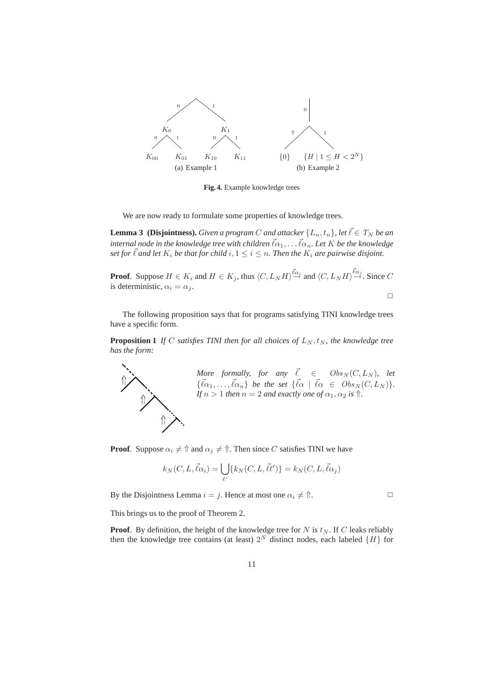

**Fig. 4.** Example knowledge trees

We are now ready to formulate some properties of knowledge trees.

**Lemma 3 (Disjointness).** *Given a program* C *and attacker*  $\{L_n, t_n\}$ *, let*  $\vec{\ell} \in T_N$  *be an* internal node in the knowledge tree with children  $\vec{\ell}\alpha_1,\ldots \vec{\ell}\alpha_n$ . Let  $K$  be the knowledge  $\int$ set for  $\vec{l}$  and let  $K_i$  be that for child  $i, 1 \leq i \leq n$ . Then the  $K_i$  are pairwise disjoint.

**Proof.** Suppose  $H \in K_i$  and  $H \in K_j$ , thus  $\langle C, L_N H \rangle \stackrel{\vec{\ell}_{\alpha_i}}{\rightarrow}$  and  $\langle C, L_N H \rangle \stackrel{\vec{\ell}_{\alpha_j}}{\rightarrow}$ . Since  $C$ is deterministic,  $\alpha_i = \alpha_j$ .

$$
\Box
$$

The following proposition says that for programs satisfying TINI knowledge trees have a specific form.

**Proposition 1** *If* C *satisfies TINI* then for all choices of  $L_N$ ,  $t_N$ , the knowledge tree *has the form:*



*More formally, for any*  $\vec{\ell}$   $\in$   $Obs_N(C, L_N)$ *, let*  $\{\vec{\ell}\alpha_1,\ldots,\vec{\ell}\alpha_n\}$  be the set  $\{\vec{\ell}\alpha \mid \vec{\ell}\alpha \in Obs_N(C, L_N)\}.$ *If*  $n > 1$  *then*  $n = 2$  *and exactly one of*  $\alpha_1, \alpha_2$  *is*  $\Uparrow$ *.* 

**Proof.** Suppose  $\alpha_i \neq \hat{\beta}$  and  $\alpha_j \neq \hat{\beta}$ . Then since C satisfies TINI we have

$$
k_N(C, L, \vec{\ell}\alpha_i) = \bigcup_{\ell'} \{k_N(C, L, \vec{\ell}\ell')\} = k_N(C, L, \vec{\ell}\alpha_j)
$$

By the Disjointness Lemma  $i = j$ . Hence at most one  $\alpha_i \neq \uparrow$ .

This brings us to the proof of Theorem 2.

**Proof.** By definition, the height of the knowledge tree for  $N$  is  $t_N$ . If  $C$  leaks reliably then the knowledge tree contains (at least)  $2^N$  distinct nodes, each labeled  $\{H\}$  for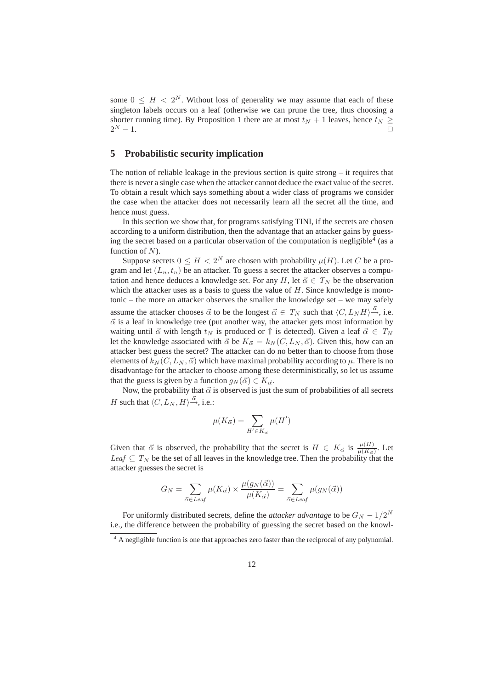some  $0 \leq H < 2^N$ . Without loss of generality we may assume that each of these singleton labels occurs on a leaf (otherwise we can prune the tree, thus choosing a shorter running time). By Proposition 1 there are at most  $t_N + 1$  leaves, hence  $t_N \geq$  $2^N-1$ .  $N-1$ .

### **5 Probabilistic security implication**

The notion of reliable leakage in the previous section is quite strong – it requires that there is never a single case when the attacker cannot deduce the exact value of the secret. To obtain a result which says something about a wider class of programs we consider the case when the attacker does not necessarily learn all the secret all the time, and hence must guess.

In this section we show that, for programs satisfying TINI, if the secrets are chosen according to a uniform distribution, then the advantage that an attacker gains by guessing the secret based on a particular observation of the computation is negligible<sup>4</sup> (as a function of  $N$ ).

Suppose secrets  $0 \leq H < 2^N$  are chosen with probability  $\mu(H)$ . Let C be a program and let  $(L_n, t_n)$  be an attacker. To guess a secret the attacker observes a computation and hence deduces a knowledge set. For any H, let  $\vec{\alpha} \in T_N$  be the observation which the attacker uses as a basis to guess the value of  $H$ . Since knowledge is monotonic – the more an attacker observes the smaller the knowledge set – we may safely assume the attacker chooses  $\vec{\alpha}$  to be the longest  $\vec{\alpha} \in T_N$  such that  $\langle C, L_N H \rangle \stackrel{\vec{\alpha}}{\rightarrow}$ , i.e.  $\vec{\alpha}$  is a leaf in knowledge tree (put another way, the attacker gets most information by waiting until  $\vec{\alpha}$  with length  $t_N$  is produced or  $\hat{\parallel}$  is detected). Given a leaf  $\vec{\alpha} \in T_N$ let the knowledge associated with  $\vec{\alpha}$  be  $K_{\vec{\alpha}} = k_N (C, L_N, \vec{\alpha})$ . Given this, how can an attacker best guess the secret? The attacker can do no better than to choose from those elements of  $k_N(C, L_N, \vec{\alpha})$  which have maximal probability according to  $\mu$ . There is no disadvantage for the attacker to choose among these deterministically, so let us assume that the guess is given by a function  $g_N(\vec{\alpha}) \in K_{\vec{\alpha}}$ .

Now, the probability that  $\vec{\alpha}$  is observed is just the sum of probabilities of all secrets H such that  $\langle C, L_N, H \rangle \stackrel{\vec{\alpha}}{\rightarrow}$ , i.e.:

$$
\mu(K_{\vec{\alpha}}) = \sum_{H' \in K_{\vec{\alpha}}} \mu(H')
$$

Given that  $\vec{\alpha}$  is observed, the probability that the secret is  $H \in K_{\vec{\alpha}}$  is  $\frac{\mu(H)}{\mu(K_{\vec{\alpha}})}$ . Let Leaf  $\subseteq T_N$  be the set of all leaves in the knowledge tree. Then the probability that the attacker guesses the secret is

$$
G_N = \sum_{\vec{\alpha} \in \text{Leaf}} \mu(K_{\vec{\alpha}}) \times \frac{\mu(g_N(\vec{\alpha}))}{\mu(K_{\vec{\alpha}})} = \sum_{\vec{\alpha} \in \text{Leaf}} \mu(g_N(\vec{\alpha}))
$$

For uniformly distributed secrets, define the *attacker advantage* to be  $G_N - 1/2^N$ i.e., the difference between the probability of guessing the secret based on the knowl-

<sup>4</sup> A negligible function is one that approaches zero faster than the reciprocal of any polynomial.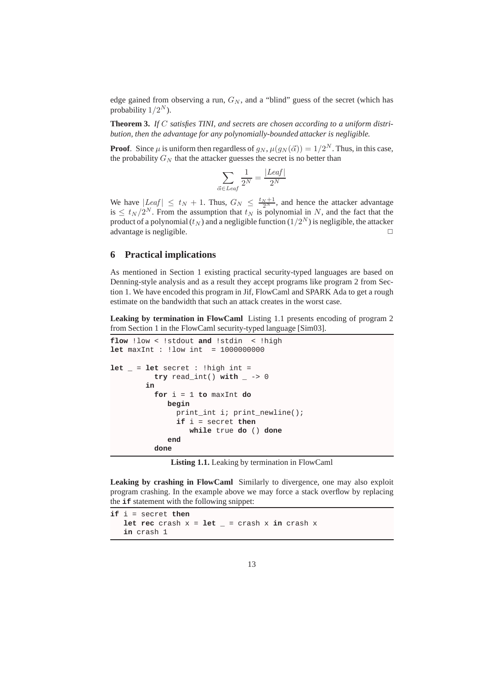edge gained from observing a run,  $G_N$ , and a "blind" guess of the secret (which has probability  $1/2^N$ ).

**Theorem 3.** *If* C *satisfies TINI, and secrets are chosen according to a uniform distribution, then the advantage for any polynomially-bounded attacker is negligible.*

**Proof.** Since  $\mu$  is uniform then regardless of  $g_N$ ,  $\mu(g_N(\vec{\alpha})) = 1/2^N$ . Thus, in this case, the probability  $G_N$  that the attacker guesses the secret is no better than

$$
\sum_{\vec{\alpha} \in \text{Leaf}} \frac{1}{2^N} = \frac{|\text{Leaf}|}{2^N}
$$

We have  $|Leaf| \le t_N + 1$ . Thus,  $G_N \le \frac{t_N+1}{2^N}$ , and hence the attacker advantage is  $\leq t_N/2^N$ . From the assumption that  $t_N$  is polynomial in N, and the fact that the product of a polynomial  $(t_N)$  and a negligible function  $(1/2^N)$  is negligible, the attacker advantage is negligible.  $\Box$ 

#### **6 Practical implications**

As mentioned in Section 1 existing practical security-typed languages are based on Denning-style analysis and as a result they accept programs like program 2 from Section 1. We have encoded this program in Jif, FlowCaml and SPARK Ada to get a rough estimate on the bandwidth that such an attack creates in the worst case.

**Leaking by termination in FlowCaml** Listing 1.1 presents encoding of program 2 from Section 1 in the FlowCaml security-typed language [Sim03].

```
flow !low < !stdout and !stdin < !high
let maxInt : : low int = 1000000000
let = let secret : !high int =try read_int() with _ -> 0
        in
          for i = 1 to maxInt do
             begin
               print_int i; print_newline();
               if i = secret then
                  while true do () done
             end
          done
```
**Listing 1.1.** Leaking by termination in FlowCaml

**Leaking by crashing in FlowCaml** Similarly to divergence, one may also exploit program crashing. In the example above we may force a stack overflow by replacing the **if** statement with the following snippet:

```
if i = secret then
   let rec crash x = let \angle = crash x in crash xin crash 1
```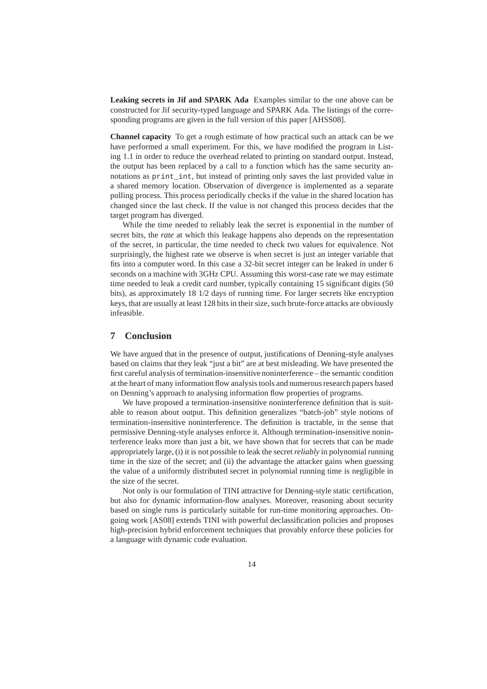**Leaking secrets in Jif and SPARK Ada** Examples similar to the one above can be constructed for Jif security-typed language and SPARK Ada. The listings of the corresponding programs are given in the full version of this paper [AHSS08].

**Channel capacity** To get a rough estimate of how practical such an attack can be we have performed a small experiment. For this, we have modified the program in Listing 1.1 in order to reduce the overhead related to printing on standard output. Instead, the output has been replaced by a call to a function which has the same security annotations as print\_int, but instead of printing only saves the last provided value in a shared memory location. Observation of divergence is implemented as a separate polling process. This process periodically checks if the value in the shared location has changed since the last check. If the value is not changed this process decides that the target program has diverged.

While the time needed to reliably leak the secret is exponential in the number of secret bits, the *rate* at which this leakage happens also depends on the representation of the secret, in particular, the time needed to check two values for equivalence. Not surprisingly, the highest rate we observe is when secret is just an integer variable that fits into a computer word. In this case a 32-bit secret integer can be leaked in under 6 seconds on a machine with 3GHz CPU. Assuming this worst-case rate we may estimate time needed to leak a credit card number, typically containing 15 significant digits (50 bits), as approximately 18 1/2 days of running time. For larger secrets like encryption keys, that are usually at least 128 bits in their size, such brute-force attacks are obviously infeasible.

## **7 Conclusion**

We have argued that in the presence of output, justifications of Denning-style analyses based on claims that they leak "just a bit" are at best misleading. We have presented the first careful analysis of termination-insensitive noninterference – the semantic condition at the heart of many information flow analysis tools and numerous research papers based on Denning's approach to analysing information flow properties of programs.

We have proposed a termination-insensitive noninterference definition that is suitable to reason about output. This definition generalizes "batch-job" style notions of termination-insensitive noninterference. The definition is tractable, in the sense that permissive Denning-style analyses enforce it. Although termination-insensitive noninterference leaks more than just a bit, we have shown that for secrets that can be made appropriately large, (i) it is not possible to leak the secret *reliably* in polynomial running time in the size of the secret; and (ii) the advantage the attacker gains when guessing the value of a uniformly distributed secret in polynomial running time is negligible in the size of the secret.

Not only is our formulation of TINI attractive for Denning-style static certification, but also for dynamic information-flow analyses. Moreover, reasoning about security based on single runs is particularly suitable for run-time monitoring approaches. Ongoing work [AS08] extends TINI with powerful declassification policies and proposes high-precision hybrid enforcement techniques that provably enforce these policies for a language with dynamic code evaluation.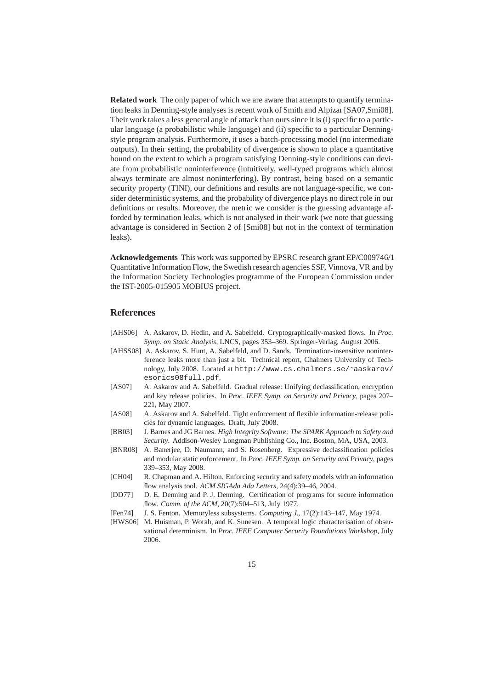**Related work** The only paper of which we are aware that attempts to quantify termination leaks in Denning-style analyses is recent work of Smith and Alpízar [SA07, Smi08]. Their work takes a less general angle of attack than ours since it is (i) specific to a particular language (a probabilistic while language) and (ii) specific to a particular Denningstyle program analysis. Furthermore, it uses a batch-processing model (no intermediate outputs). In their setting, the probability of divergence is shown to place a quantitative bound on the extent to which a program satisfying Denning-style conditions can deviate from probabilistic noninterference (intuitively, well-typed programs which almost always terminate are almost noninterfering). By contrast, being based on a semantic security property (TINI), our definitions and results are not language-specific, we consider deterministic systems, and the probability of divergence plays no direct role in our definitions or results. Moreover, the metric we consider is the guessing advantage afforded by termination leaks, which is not analysed in their work (we note that guessing advantage is considered in Section 2 of [Smi08] but not in the context of termination leaks).

**Acknowledgements** This work was supported by EPSRC research grant EP/C009746/1 Quantitative Information Flow, the Swedish research agencies SSF, Vinnova, VR and by the Information Society Technologies programme of the European Commission under the IST-2005-015905 MOBIUS project.

## **References**

- [AHS06] A. Askarov, D. Hedin, and A. Sabelfeld. Cryptographically-masked flows. In *Proc. Symp. on Static Analysis*, LNCS, pages 353–369. Springer-Verlag, August 2006.
- [AHSS08] A. Askarov, S. Hunt, A. Sabelfeld, and D. Sands. Termination-insensitive noninterference leaks more than just a bit. Technical report, Chalmers University of Technology, July 2008. Located at http://www.cs.chalmers.se/˜aaskarov/ esorics08full.pdf.
- [AS07] A. Askarov and A. Sabelfeld. Gradual release: Unifying declassification, encryption and key release policies. In *Proc. IEEE Symp. on Security and Privacy*, pages 207– 221, May 2007.
- [AS08] A. Askarov and A. Sabelfeld. Tight enforcement of flexible information-release policies for dynamic languages. Draft, July 2008.
- [BB03] J. Barnes and JG Barnes. *High Integrity Software: The SPARK Approach to Safety and Security*. Addison-Wesley Longman Publishing Co., Inc. Boston, MA, USA, 2003.
- [BNR08] A. Banerjee, D. Naumann, and S. Rosenberg. Expressive declassification policies and modular static enforcement. In *Proc. IEEE Symp. on Security and Privacy*, pages 339–353, May 2008.
- [CH04] R. Chapman and A. Hilton. Enforcing security and safety models with an information flow analysis tool. *ACM SIGAda Ada Letters*, 24(4):39–46, 2004.
- [DD77] D. E. Denning and P. J. Denning. Certification of programs for secure information flow. *Comm. of the ACM*, 20(7):504–513, July 1977.
- [Fen74] J. S. Fenton. Memoryless subsystems. *Computing J.*, 17(2):143–147, May 1974.
- [HWS06] M. Huisman, P. Worah, and K. Sunesen. A temporal logic characterisation of observational determinism. In *Proc. IEEE Computer Security Foundations Workshop*, July 2006.